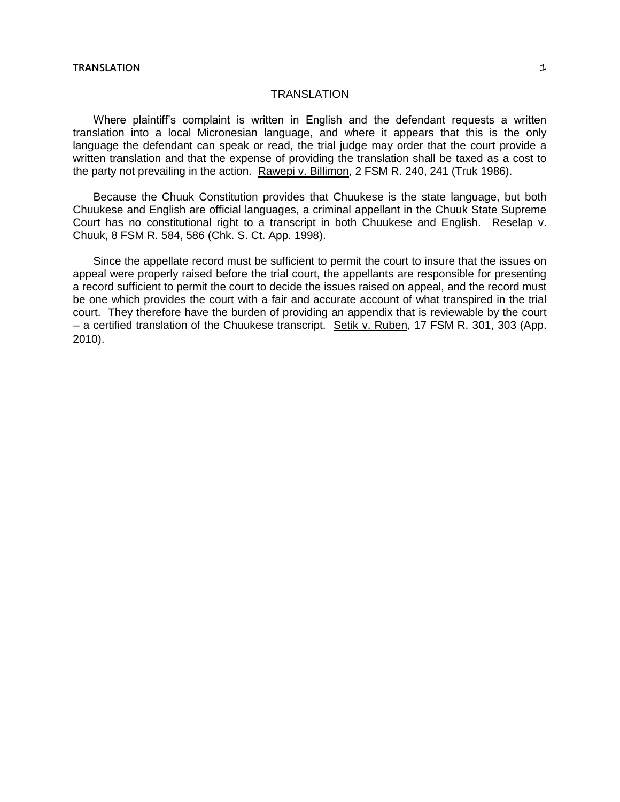## TRANSLATION

Where plaintiff's complaint is written in English and the defendant requests a written translation into a local Micronesian language, and where it appears that this is the only language the defendant can speak or read, the trial judge may order that the court provide a written translation and that the expense of providing the translation shall be taxed as a cost to the party not prevailing in the action. Rawepi v. Billimon, 2 FSM R. 240, 241 (Truk 1986).

Because the Chuuk Constitution provides that Chuukese is the state language, but both Chuukese and English are official languages, a criminal appellant in the Chuuk State Supreme Court has no constitutional right to a transcript in both Chuukese and English. Reselap v. Chuuk, 8 FSM R. 584, 586 (Chk. S. Ct. App. 1998).

Since the appellate record must be sufficient to permit the court to insure that the issues on appeal were properly raised before the trial court, the appellants are responsible for presenting a record sufficient to permit the court to decide the issues raised on appeal, and the record must be one which provides the court with a fair and accurate account of what transpired in the trial court. They therefore have the burden of providing an appendix that is reviewable by the court ─ a certified translation of the Chuukese transcript. Setik v. Ruben, 17 FSM R. 301, 303 (App. 2010).